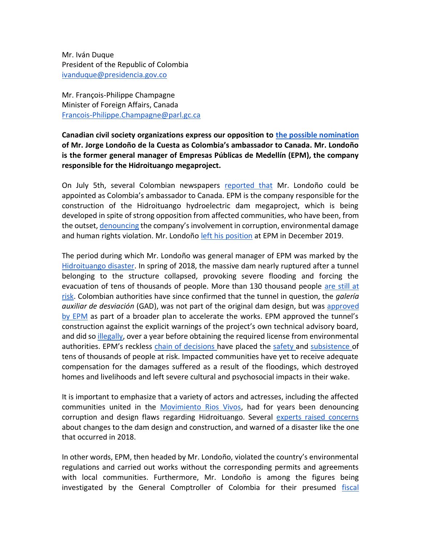Mr. Iván Duque President of the Republic of Colombia [ivanduque@presidencia.gov.co](mailto:ivanduque@presidencia.gov.co)

Mr. François-Philippe Champagne Minister of Foreign Affairs, Canada [Francois-Philippe.Champagne@parl.gc.ca](mailto:Francois-Philippe.Champagne@parl.gc.ca)

**Canadian civil society organizations express our opposition to the [possible nomination](http://www.secretariasenado.gov.co/senado/basedoc/decreto_0274_2000.html) of Mr. Jorge Londoño de la Cuesta as Colombia's ambassador to Canada. Mr. Londoño is the former general manager of Empresas Públicas de Medellín (EPM), the company responsible for the Hidroituango megaproject.**

On July 5th, several Colombian newspapers [reported that](https://www.larepublica.co/economia/jorge-londono-de-la-cuesta-seria-el-nuevo-embajador-de-colombia-en-canada-3027106) Mr. Londoño could be appointed as Colombia's ambassador to Canada. EPM is the company responsible for the construction of the Hidroituango hydroelectric dam megaproject, which is being developed in spite of strong opposition from affected communities, who have been, from the outset, [denouncing](https://riosvivoscolombia.org/comunicados-y-denuncias/page/30/) the company's involvement in corruption, environmental damage and human rights violation. Mr. Londoño [left his position](https://www.elpais.com.co/colombia/jorge-londono-deja-la-gerencia-de-las-empresas-publicas-de-medellin-epm.html) at EPM in December 2019.

The period during which Mr. Londoño was general manager of EPM was marked by th[e](https://www.youtube.com/watch?v=x818RNlE9RU) [Hidroituango disaster.](https://www.youtube.com/watch?v=x818RNlE9RU) In spring of 2018, the massive dam nearly ruptured after a tunnel belonging to the structure collapsed, provoking severe flooding and forcing the evacuation of tens of thousands of people. More than 130 thousand people [are still at](https://es.mongabay.com/2018/06/riesgo-por-hidroituango-preocupa-en-colombia/)  [risk.](https://es.mongabay.com/2018/06/riesgo-por-hidroituango-preocupa-en-colombia/) Colombian authorities have since confirmed that the tunnel in question, the *galería auxiliar de desviación* (GAD), was not part of the original dam design, but was [approved](https://www.semana.com/Item/ArticleAsync/585339?nextId=585341)  [by EPM](https://www.semana.com/Item/ArticleAsync/585339?nextId=585341) as part of a broader plan to accelerate the works. EPM approved the tunnel's construction against the explicit warnings of the project's own technical advisory board, and did so [illegally,](https://www.eltiempo.com/colombia/medellin/autoridad-nacional-de-licencias-ambientales-impone-multa-a-epm-por-hidroituango-450524) over a year before obtaining the required license from environmental authorities. EPM's reckless [chain of decisions h](https://www.semana.com/Item/ArticleAsync/585339?nextId=585341)ave placed the [safety a](https://www.eltiempo.com/justicia/delitos/contraloria-dice-que-hidroituango-mantiene-riesgos-de-estabilidad-414546)nd [subsistence o](https://www.elespectador.com/noticias/judicial/procuraduria-presenta-tutela-para-proteger-victimas-de-hidroituango-y-mitigar-crisis-articulo-891138)f tens of thousands of people at risk. Impacted communities have yet to receive adequate compensation for the damages suffered as a result of the floodings, which destroyed homes and livelihoods and left severe cultural and psychosocial impacts in their wake.

It is important to emphasize that a variety of actors and actresses, including the affected communities united in the [Movimiento Rios Vivos,](https://riosvivoscolombia.org/) had for years been denouncing corruption and design flaws regarding Hidroituango. Several [experts raised concerns](https://www.theglobeandmail.com/world/article-despite-warning-signs-canadas-edc-helped-build-this-colombian-dam/) about changes to the dam design and construction, and warned of a disaster like the one that occurred in 2018.

In other words, EPM, then headed by Mr. Londoño, violated the country's environmental regulations and carried out works without the corresponding permits and agreements with local communities. Furthermore, Mr. Londoño is among the figures being investigated by the General Comptroller of Colombia for their presumed [fiscal](https://www.eltiempo.com/justicia/investigacion/contraloria-investiga-a-sergio-fajardo-luis-alfredo-ramos-y-anibal-gaviria-por-hidroituango-433398)